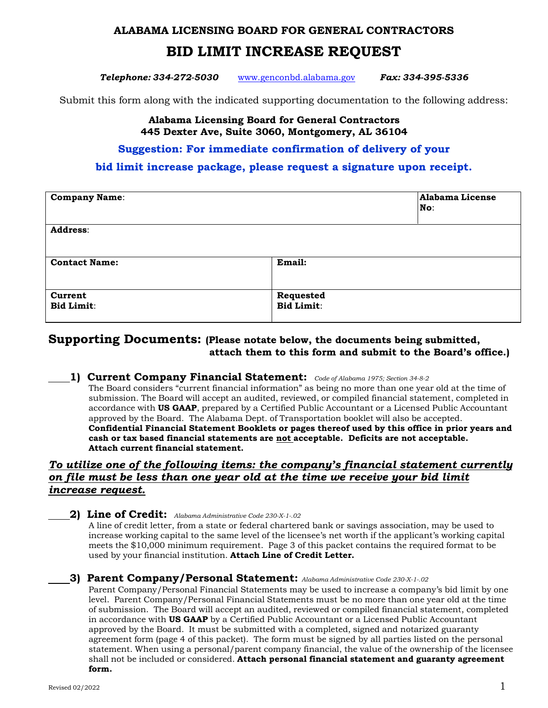### **ALABAMA LICENSING BOARD FOR GENERAL CONTRACTORS**

# **BID LIMIT INCREASE REQUEST**

*Telephone: 334-272-5030* [www.genconbd.alabama.gov](http://www.genconbd.alabama.gov/) *Fax: 334-395-5336*

Submit this form along with the indicated supporting documentation to the following address:

#### **Alabama Licensing Board for General Contractors 445 Dexter Ave, Suite 3060, Montgomery, AL 36104**

### **Suggestion: For immediate confirmation of delivery of your**

### **bid limit increase package, please request a signature upon receipt.**

| <b>Company Name:</b>         |                                | <b>Alabama License</b><br>No: |
|------------------------------|--------------------------------|-------------------------------|
| Address:                     |                                |                               |
| <b>Contact Name:</b>         | Email:                         |                               |
| Current<br><b>Bid Limit:</b> | Requested<br><b>Bid Limit:</b> |                               |

## **Supporting Documents: (Please notate below, the documents being submitted, attach them to this form and submit to the Board's office.)**

**1) Current Company Financial Statement:** *Code of Alabama 1975; Section 34-8-2* The Board considers "current financial information" as being no more than one year old at the time of submission. The Board will accept an audited, reviewed, or compiled financial statement, completed in accordance with **US GAAP**, prepared by a Certified Public Accountant or a Licensed Public Accountant approved by the Board. The Alabama Dept. of Transportation booklet will also be accepted. **Confidential Financial Statement Booklets or pages thereof used by this office in prior years and cash or tax based financial statements are not acceptable. Deficits are not acceptable. Attach current financial statement.**

### *To utilize one of the following items: the company's financial statement currently on file must be less than one year old at the time we receive your bid limit increase request.*

**2) Line of Credit:** *Alabama Administrative Code 230-X-1-.02*

A line of credit letter, from a state or federal chartered bank or savings association, may be used to increase working capital to the same level of the licensee's net worth if the applicant's working capital meets the \$10,000 minimum requirement. Page 3 of this packet contains the required format to be used by your financial institution. **Attach Line of Credit Letter.**

#### **3) Parent Company/Personal Statement:** *Alabama Administrative Code 230-X-1-.02*

Parent Company/Personal Financial Statements may be used to increase a company's bid limit by one level. Parent Company/Personal Financial Statements must be no more than one year old at the time of submission. The Board will accept an audited, reviewed or compiled financial statement, completed in accordance with **US GAAP** by a Certified Public Accountant or a Licensed Public Accountant approved by the Board. It must be submitted with a completed, signed and notarized guaranty agreement form (page 4 of this packet). The form must be signed by all parties listed on the personal statement. When using a personal/parent company financial, the value of the ownership of the licensee shall not be included or considered. **Attach personal financial statement and guaranty agreement form.**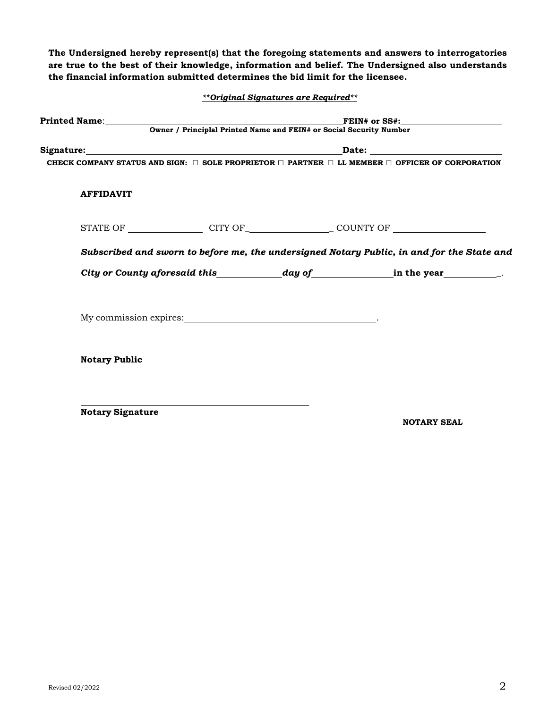**The Undersigned hereby represent(s) that the foregoing statements and answers to interrogatories are true to the best of their knowledge, information and belief. The Undersigned also understands the financial information submitted determines the bid limit for the licensee.**

| **Original Signatures are Required** |  |  |
|--------------------------------------|--|--|
|--------------------------------------|--|--|

| CHECK COMPANY STATUS AND SIGN: $\Box$ SOLE PROPRIETOR $\Box$ PARTNER $\Box$ LL MEMBER $\Box$ OFFICER OF CORPORATION                                                                                                            |  |                                                                                              |  |
|--------------------------------------------------------------------------------------------------------------------------------------------------------------------------------------------------------------------------------|--|----------------------------------------------------------------------------------------------|--|
| <b>AFFIDAVIT</b>                                                                                                                                                                                                               |  |                                                                                              |  |
| STATE OF CITY OF CITY OF COUNTY OF                                                                                                                                                                                             |  |                                                                                              |  |
|                                                                                                                                                                                                                                |  | Subscribed and sworn to before me, the undersigned Notary Public, in and for the State and   |  |
|                                                                                                                                                                                                                                |  | City or County aforesaid this $\qquad \qquad \text{day of} \qquad \qquad \text{in the year}$ |  |
| My commission expires: Note and the set of the set of the set of the set of the set of the set of the set of the set of the set of the set of the set of the set of the set of the set of the set of the set of the set of the |  |                                                                                              |  |
| <b>Notary Public</b>                                                                                                                                                                                                           |  |                                                                                              |  |
|                                                                                                                                                                                                                                |  |                                                                                              |  |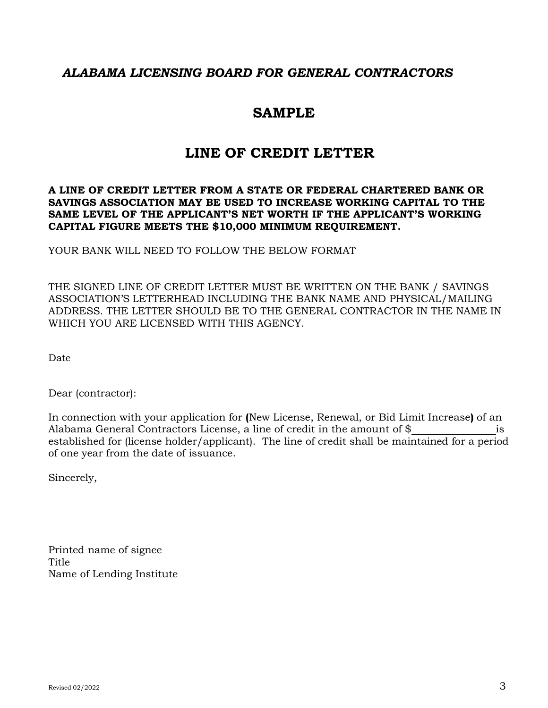# *ALABAMA LICENSING BOARD FOR GENERAL CONTRACTORS*

# **SAMPLE**

# **LINE OF CREDIT LETTER**

### **A LINE OF CREDIT LETTER FROM A STATE OR FEDERAL CHARTERED BANK OR SAVINGS ASSOCIATION MAY BE USED TO INCREASE WORKING CAPITAL TO THE SAME LEVEL OF THE APPLICANT'S NET WORTH IF THE APPLICANT'S WORKING CAPITAL FIGURE MEETS THE \$10,000 MINIMUM REQUIREMENT.**

YOUR BANK WILL NEED TO FOLLOW THE BELOW FORMAT

THE SIGNED LINE OF CREDIT LETTER MUST BE WRITTEN ON THE BANK / SAVINGS ASSOCIATION'S LETTERHEAD INCLUDING THE BANK NAME AND PHYSICAL/MAILING ADDRESS. THE LETTER SHOULD BE TO THE GENERAL CONTRACTOR IN THE NAME IN WHICH YOU ARE LICENSED WITH THIS AGENCY.

Date

Dear (contractor):

In connection with your application for **(**New License, Renewal, or Bid Limit Increase**)** of an Alabama General Contractors License, a line of credit in the amount of \$ is established for (license holder/applicant). The line of credit shall be maintained for a period of one year from the date of issuance.

Sincerely,

Printed name of signee Title Name of Lending Institute